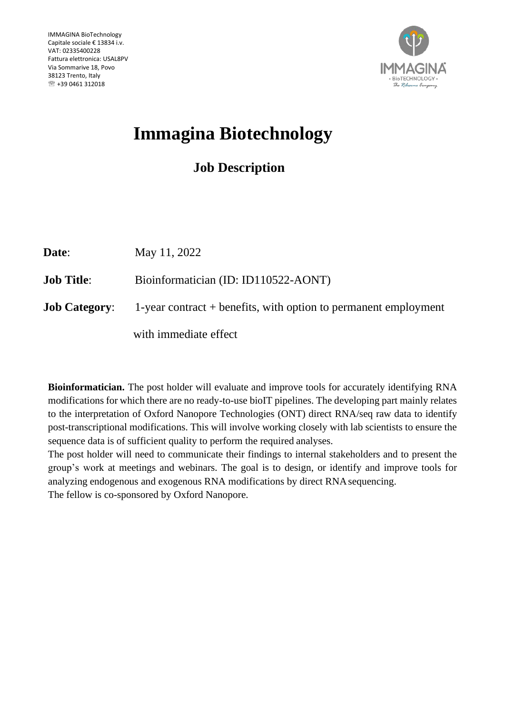

# **Immagina Biotechnology**

**Job Description**

| Date:                | May 11, 2022                                                      |
|----------------------|-------------------------------------------------------------------|
| <b>Job Title:</b>    | Bioinformatician (ID: ID110522-AONT)                              |
| <b>Job Category:</b> | 1-year contract $+$ benefits, with option to permanent employment |
|                      | with immediate effect                                             |

**Bioinformatician.** The post holder will evaluate and improve tools for accurately identifying RNA modifications for which there are no ready-to-use bioIT pipelines. The developing part mainly relates to the interpretation of Oxford Nanopore Technologies (ONT) direct RNA/seq raw data to identify post-transcriptional modifications. This will involve working closely with lab scientists to ensure the sequence data is of sufficient quality to perform the required analyses.

The post holder will need to communicate their findings to internal stakeholders and to present the group's work at meetings and webinars. The goal is to design, or identify and improve tools for analyzing endogenous and exogenous RNA modifications by direct RNAsequencing. The fellow is co-sponsored by Oxford Nanopore.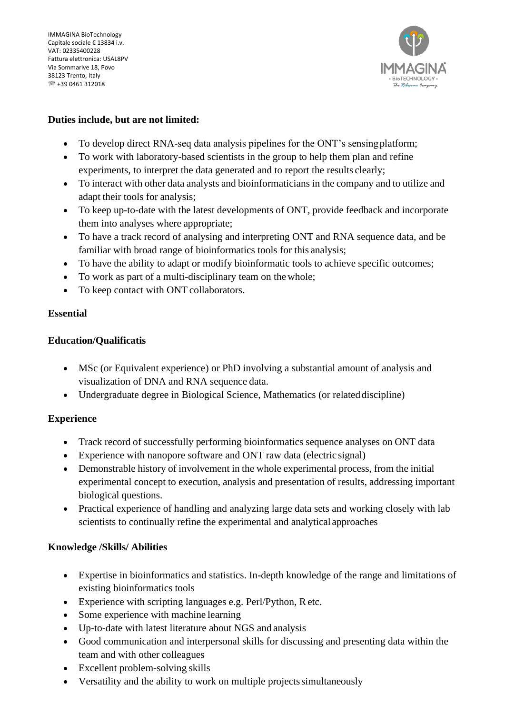IMMAGINA BioTechnology Capitale sociale € 13834 i.v. VAT: 02335400228 Fattura elettronica: USAL8PV Via Sommarive 18, Povo 38123 Trento, Italy  $\textcircled{R}$  +39 0461 312018



# **Duties include, but are not limited:**

- To develop direct RNA-seq data analysis pipelines for the ONT's sensingplatform;
- To work with laboratory-based scientists in the group to help them plan and refine experiments, to interpret the data generated and to report the results clearly;
- To interact with other data analysts and bioinformaticians in the company and to utilize and adapt their tools for analysis;
- To keep up-to-date with the latest developments of ONT, provide feedback and incorporate them into analyses where appropriate;
- To have a track record of analysing and interpreting ONT and RNA sequence data, and be familiar with broad range of bioinformatics tools for this analysis;
- To have the ability to adapt or modify bioinformatic tools to achieve specific outcomes;
- To work as part of a multi-disciplinary team on the whole;
- To keep contact with ONT collaborators.

## **Essential**

## **Education/Qualificatis**

- MSc (or Equivalent experience) or PhD involving a substantial amount of analysis and visualization of DNA and RNA sequence data.
- Undergraduate degree in Biological Science, Mathematics (or related discipline)

## **Experience**

- Track record of successfully performing bioinformatics sequence analyses on ONT data
- Experience with nanopore software and ONT raw data (electric signal)
- Demonstrable history of involvement in the whole experimental process, from the initial experimental concept to execution, analysis and presentation of results, addressing important biological questions.
- Practical experience of handling and analyzing large data sets and working closely with lab scientists to continually refine the experimental and analytical approaches

## **Knowledge /Skills/ Abilities**

- Expertise in bioinformatics and statistics. In-depth knowledge of the range and limitations of existing bioinformatics tools
- Experience with scripting languages e.g. Perl/Python, Retc.
- Some experience with machine learning
- Up-to-date with latest literature about NGS and analysis
- Good communication and interpersonal skills for discussing and presenting data within the team and with other colleagues
- Excellent problem-solving skills
- Versatility and the ability to work on multiple projects simultaneously